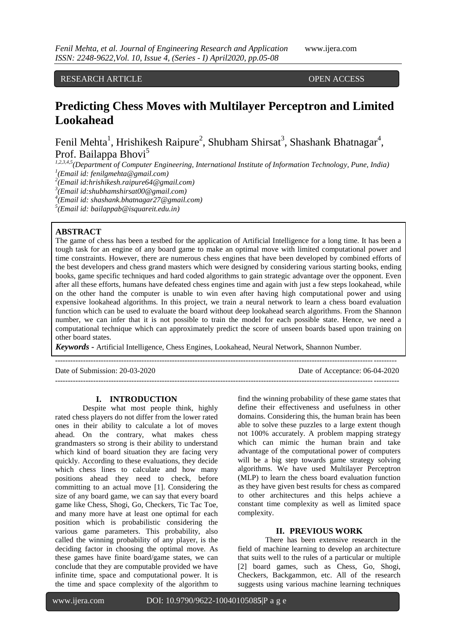RESEARCH ARTICLE OPEN ACCESS

# **Predicting Chess Moves with Multilayer Perceptron and Limited Lookahead**

Fenil Mehta<sup>1</sup>, Hrishikesh Raipure<sup>2</sup>, Shubham Shirsat<sup>3</sup>, Shashank Bhatnagar<sup>4</sup>, Prof. Bailappa Bhovi<sup>5</sup>

*1,2,3,4,5(Department of Computer Engineering, International Institute of Information Technology, Pune, India) 1 (Email id: [fenilgmehta@gmail.com\)](mailto:fenilgmehta@gmail.com)*

*2 (Email id[:hrishikesh.raipure64@gmail.com\)](mailto:hrishikesh.raipure64@gmail.com)*

*3 (Email id[:shubhamshirsat00@gmail.com\)](mailto:shubhamshirsat00@gmail.com)*

*4 (Email id: [shashank.bhatnagar27@gmail.com\)](mailto:shashank.bhatnagar27@gmail.com)*

*5 (Email id: [bailappab@isquareit.edu.in\)](mailto:bailappab@isquareit.edu.in)*

## **ABSTRACT**

The game of chess has been a testbed for the application of Artificial Intelligence for a long time. It has been a tough task for an engine of any board game to make an optimal move with limited computational power and time constraints. However, there are numerous chess engines that have been developed by combined efforts of the best developers and chess grand masters which were designed by considering various starting books, ending books, game specific techniques and hard coded algorithms to gain strategic advantage over the opponent. Even after all these efforts, humans have defeated chess engines time and again with just a few steps lookahead, while on the other hand the computer is unable to win even after having high computational power and using expensive lookahead algorithms. In this project, we train a neural network to learn a chess board evaluation function which can be used to evaluate the board without deep lookahead search algorithms. From the Shannon number, we can infer that it is not possible to train the model for each possible state. Hence, we need a computational technique which can approximately predict the score of unseen boards based upon training on other board states.

*Keywords* **-** Artificial Intelligence, Chess Engines, Lookahead, Neural Network, Shannon Number.

-------------------------------------------------------------------------------------------------------------------------------------- Date of Submission: 20-03-2020 Date of Acceptance: 06-04-2020

---------------------------------------------------------------------------------------------------------------------------------------

## **I. INTRODUCTION**

Despite what most people think, highly rated chess players do not differ from the lower rated ones in their ability to calculate a lot of moves ahead. On the contrary, what makes chess grandmasters so strong is their ability to understand which kind of board situation they are facing very quickly. According to these evaluations, they decide which chess lines to calculate and how many positions ahead they need to check, before committing to an actual move [1]. Considering the size of any board game, we can say that every board game like Chess, Shogi, Go, Checkers, Tic Tac Toe, and many more have at least one optimal for each position which is probabilistic considering the various game parameters. This probability, also called the winning probability of any player, is the deciding factor in choosing the optimal move. As these games have finite board/game states, we can conclude that they are computable provided we have infinite time, space and computational power. It is the time and space complexity of the algorithm to

find the winning probability of these game states that define their effectiveness and usefulness in other domains. Considering this, the human brain has been able to solve these puzzles to a large extent though not 100% accurately. A problem mapping strategy which can mimic the human brain and take advantage of the computational power of computers will be a big step towards game strategy solving algorithms. We have used Multilayer Perceptron (MLP) to learn the chess board evaluation function as they have given best results for chess as compared to other architectures and this helps achieve a constant time complexity as well as limited space complexity.

# **II. PREVIOUS WORK**

There has been extensive research in the field of machine learning to develop an architecture that suits well to the rules of a particular or multiple [2] board games, such as Chess, Go, Shogi, Checkers, Backgammon, etc. All of the research suggests using various machine learning techniques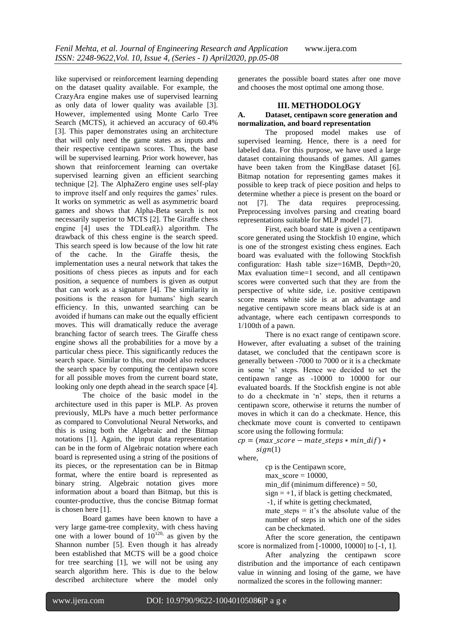like supervised or reinforcement learning depending on the dataset quality available. For example, the CrazyAra engine makes use of supervised learning as only data of lower quality was available [3]. However, implemented using Monte Carlo Tree Search (MCTS), it achieved an accuracy of 60.4% [3]. This paper demonstrates using an architecture that will only need the game states as inputs and their respective centipawn scores. Thus, the base will be supervised learning. Prior work however, has shown that reinforcement learning can overtake supervised learning given an efficient searching technique [2]. The AlphaZero engine uses self-play to improve itself and only requires the games' rules. It works on symmetric as well as asymmetric board games and shows that Alpha-Beta search is not necessarily superior to MCTS [2]. The Giraffe chess engine [4] uses the TDLeaf( $\lambda$ ) algorithm. The drawback of this chess engine is the search speed. This search speed is low because of the low hit rate of the cache. In the Giraffe thesis, the implementation uses a neural network that takes the positions of chess pieces as inputs and for each position, a sequence of numbers is given as output that can work as a signature [4]. The similarity in positions is the reason for humans' high search efficiency. In this, unwanted searching can be avoided if humans can make out the equally efficient moves. This will dramatically reduce the average branching factor of search trees. The Giraffe chess engine shows all the probabilities for a move by a particular chess piece. This significantly reduces the search space. Similar to this, our model also reduces the search space by computing the centipawn score for all possible moves from the current board state, looking only one depth ahead in the search space [4].

The choice of the basic model in the architecture used in this paper is MLP. As proven previously, MLPs have a much better performance as compared to Convolutional Neural Networks, and this is using both the Algebraic and the Bitmap notations [1]. Again, the input data representation can be in the form of Algebraic notation where each board is represented using a string of the positions of its pieces, or the representation can be in Bitmap format, where the entire board is represented as binary string. Algebraic notation gives more information about a board than Bitmap, but this is counter-productive, thus the concise Bitmap format is chosen here [1].

Board games have been known to have a very large game-tree complexity, with chess having one with a lower bound of  $10^{120}$ , as given by the Shannon number [5]. Even though it has already been established that MCTS will be a good choice for tree searching [1], we will not be using any search algorithm here. This is due to the below described architecture where the model only

generates the possible board states after one move and chooses the most optimal one among those.

# **III. METHODOLOGY**

## **A. Dataset, centipawn score generation and normalization, and board representation**

The proposed model makes use of supervised learning. Hence, there is a need for labeled data. For this purpose, we have used a large dataset containing thousands of games. All games have been taken from the KingBase dataset [6]. Bitmap notation for representing games makes it possible to keep track of piece position and helps to determine whether a piece is present on the board or not [7]. The data requires preprocessing. Preprocessing involves parsing and creating board representations suitable for MLP model [7].

First, each board state is given a centipawn score generated using the Stockfish 10 engine, which is one of the strongest existing chess engines. Each board was evaluated with the following Stockfish configuration: Hash table size=16MB, Depth=20, Max evaluation time=1 second, and all centipawn scores were converted such that they are from the perspective of white side, i.e. positive centipawn score means white side is at an advantage and negative centipawn score means black side is at an advantage, where each centipawn corresponds to 1/100th of a pawn.

There is no exact range of centipawn score. However, after evaluating a subset of the training dataset, we concluded that the centipawn score is generally between -7000 to 7000 or it is a checkmate in some 'n' steps. Hence we decided to set the centipawn range as -10000 to 10000 for our evaluated boards. If the Stockfish engine is not able to do a checkmate in 'n' steps, then it returns a centipawn score, otherwise it returns the number of moves in which it can do a checkmate. Hence, this checkmate move count is converted to centipawn score using the following formula:

 $cp = (max score - mate steps * min dif) *$ 

 $sign(1)$ where,

cp is the Centipawn score, max  $score = 10000$ , min dif (minimum difference)  $= 50$ ,  $sign = +1$ , if black is getting checkmated, -1, if white is getting checkmated, mate steps  $=$  it's the absolute value of the number of steps in which one of the sides can be checkmated.

After the score generation, the centipawn score is normalized from [-10000, 10000] to [-1, 1].

After analyzing the centipawn score distribution and the importance of each centipawn value in winning and losing of the game, we have normalized the scores in the following manner: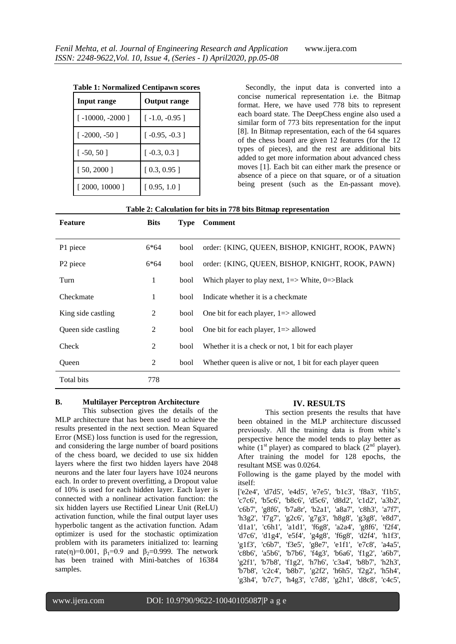| <b>Table 1: Normalized Centipawn scores</b> |  |
|---------------------------------------------|--|
|---------------------------------------------|--|

| <b>Input range</b> | <b>Output range</b> |
|--------------------|---------------------|
| $[-10000, -2000]$  | $[-1.0, -0.95]$     |
| $[-2000, -50]$     | $[-0.95, -0.3]$     |
| $[-50, 50]$        | $[-0.3, 0.3]$       |
| [ 50, 2000 ]       | [0.3, 0.95]         |
| [2000, 10000]      | [0.95, 1.0]         |

 Secondly, the input data is converted into a concise numerical representation i.e. the Bitmap format. Here, we have used 778 bits to represent each board state. The DeepChess engine also used a similar form of 773 bits representation for the input [8]. In Bitmap representation, each of the 64 squares of the chess board are given 12 features (for the 12 types of pieces), and the rest are additional bits added to get more information about advanced chess moves [1]. Each bit can either mark the presence or absence of a piece on that square, or of a situation being present (such as the En-passant move).

#### **Table 2: Calculation for bits in 778 bits Bitmap representation**

| <b>Feature</b>       | <b>Bits</b> | <b>Type</b> | <b>Comment</b>                                                          |
|----------------------|-------------|-------------|-------------------------------------------------------------------------|
|                      |             |             |                                                                         |
| P1 piece             | 6*64        | bool        | order: {KING, QUEEN, BISHOP, KNIGHT, ROOK, PAWN}                        |
| P <sub>2</sub> piece | 6*64        | bool        | order: {KING, QUEEN, BISHOP, KNIGHT, ROOK, PAWN}                        |
| Turn                 | 1           | bool        | Which player to play next, $1 \Rightarrow$ White, $0 \Rightarrow$ Black |
| Checkmate            | 1           | bool        | Indicate whether it is a checkmate                                      |
| King side castling   | 2           | bool        | One bit for each player, $1 \Rightarrow$ allowed                        |
| Queen side castling  | 2           | bool        | One bit for each player, $1 \Rightarrow$ allowed                        |
| Check                | 2           | bool        | Whether it is a check or not, 1 bit for each player                     |
| Queen                | 2           | bool        | Whether queen is alive or not, 1 bit for each player queen              |
| Total bits           | 778         |             |                                                                         |

# **B. Multilayer Perceptron Architecture**

This subsection gives the details of the MLP architecture that has been used to achieve the results presented in the next section. Mean Squared Error (MSE) loss function is used for the regression, and considering the large number of board positions of the chess board, we decided to use six hidden layers where the first two hidden layers have 2048 neurons and the later four layers have 1024 neurons each. In order to prevent overfitting, a Dropout value of 10% is used for each hidden layer. Each layer is connected with a nonlinear activation function: the six hidden layers use Rectified Linear Unit (ReLU) activation function, while the final output layer uses hyperbolic tangent as the activation function. Adam optimizer is used for the stochastic optimization problem with its parameters initialized to: learning rate(η)=0.001,  $\beta_1$ =0.9 and  $\beta_2$ =0.999. The network has been trained with Mini-batches of 16384 samples.

## **IV. RESULTS**

This section presents the results that have been obtained in the MLP architecture discussed previously. All the training data is from white's perspective hence the model tends to play better as white ( $1<sup>st</sup>$  player) as compared to black ( $2<sup>nd</sup>$  player). After training the model for 128 epochs, the resultant MSE was 0.0264.

Following is the game played by the model with itself:

['e2e4', 'd7d5', 'e4d5', 'e7e5', 'b1c3', 'f8a3', 'f1b5', 'c7c6', 'b5c6', 'b8c6', 'd5c6', 'd8d2', 'c1d2', 'a3b2', 'c6b7', 'g8f6', 'b7a8r', 'b2a1', 'a8a7', 'c8h3', 'a7f7', 'h3g2', 'f7g7', 'g2c6', 'g7g3', 'h8g8', 'g3g8', 'e8d7', 'd1a1', 'c6h1', 'a1d1', 'f6g8', 'a2a4', 'g8f6', 'f2f4', 'd7c6', 'd1g4', 'e5f4', 'g4g8', 'f6g8', 'd2f4', 'h1f3', 'g1f3', 'c6b7', 'f3e5', 'g8e7', 'e1f1', 'e7c8', 'a4a5', 'c8b6', 'a5b6', 'b7b6', 'f4g3', 'b6a6', 'f1g2', 'a6b7', 'g2f1', 'b7b8', 'f1g2', 'h7h6', 'c3a4', 'b8b7', 'h2h3', 'b7b8', 'c2c4', 'b8b7', 'g2f2', 'h6h5', 'f2g2', 'h5h4', 'g3h4', 'b7c7', 'h4g3', 'c7d8', 'g2h1', 'd8c8', 'c4c5',